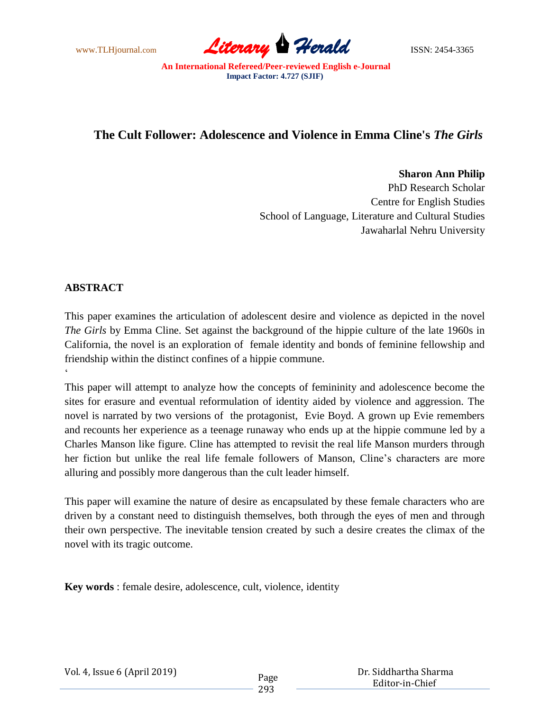

## **The Cult Follower: Adolescence and Violence in Emma Cline's** *The Girls*

**Sharon Ann Philip**

PhD Research Scholar Centre for English Studies School of Language, Literature and Cultural Studies Jawaharlal Nehru University

## **ABSTRACT**

 $\zeta$ 

This paper examines the articulation of adolescent desire and violence as depicted in the novel *The Girls* by Emma Cline. Set against the background of the hippie culture of the late 1960s in California, the novel is an exploration of female identity and bonds of feminine fellowship and friendship within the distinct confines of a hippie commune.

This paper will attempt to analyze how the concepts of femininity and adolescence become the sites for erasure and eventual reformulation of identity aided by violence and aggression. The novel is narrated by two versions of the protagonist, Evie Boyd. A grown up Evie remembers and recounts her experience as a teenage runaway who ends up at the hippie commune led by a Charles Manson like figure. Cline has attempted to revisit the real life Manson murders through her fiction but unlike the real life female followers of Manson, Cline's characters are more alluring and possibly more dangerous than the cult leader himself.

This paper will examine the nature of desire as encapsulated by these female characters who are driven by a constant need to distinguish themselves, both through the eyes of men and through their own perspective. The inevitable tension created by such a desire creates the climax of the novel with its tragic outcome.

**Key words** : female desire, adolescence, cult, violence, identity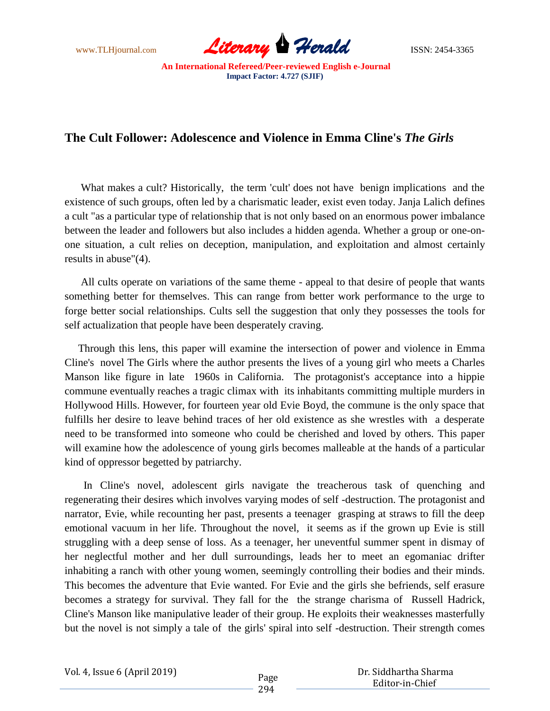

## **The Cult Follower: Adolescence and Violence in Emma Cline's** *The Girls*

 What makes a cult? Historically, the term 'cult' does not have benign implications and the existence of such groups, often led by a charismatic leader, exist even today. Janja Lalich defines a cult "as a particular type of relationship that is not only based on an enormous power imbalance between the leader and followers but also includes a hidden agenda. Whether a group or one-onone situation, a cult relies on deception, manipulation, and exploitation and almost certainly results in abuse"(4).

 All cults operate on variations of the same theme - appeal to that desire of people that wants something better for themselves. This can range from better work performance to the urge to forge better social relationships. Cults sell the suggestion that only they possesses the tools for self actualization that people have been desperately craving.

 Through this lens, this paper will examine the intersection of power and violence in Emma Cline's novel The Girls where the author presents the lives of a young girl who meets a Charles Manson like figure in late 1960s in California. The protagonist's acceptance into a hippie commune eventually reaches a tragic climax with its inhabitants committing multiple murders in Hollywood Hills. However, for fourteen year old Evie Boyd, the commune is the only space that fulfills her desire to leave behind traces of her old existence as she wrestles with a desperate need to be transformed into someone who could be cherished and loved by others. This paper will examine how the adolescence of young girls becomes malleable at the hands of a particular kind of oppressor begetted by patriarchy.

 In Cline's novel, adolescent girls navigate the treacherous task of quenching and regenerating their desires which involves varying modes of self -destruction. The protagonist and narrator, Evie, while recounting her past, presents a teenager grasping at straws to fill the deep emotional vacuum in her life. Throughout the novel, it seems as if the grown up Evie is still struggling with a deep sense of loss. As a teenager, her uneventful summer spent in dismay of her neglectful mother and her dull surroundings, leads her to meet an egomaniac drifter inhabiting a ranch with other young women, seemingly controlling their bodies and their minds. This becomes the adventure that Evie wanted. For Evie and the girls she befriends, self erasure becomes a strategy for survival. They fall for the the strange charisma of Russell Hadrick, Cline's Manson like manipulative leader of their group. He exploits their weaknesses masterfully but the novel is not simply a tale of the girls' spiral into self -destruction. Their strength comes

 Dr. Siddhartha Sharma Editor-in-Chief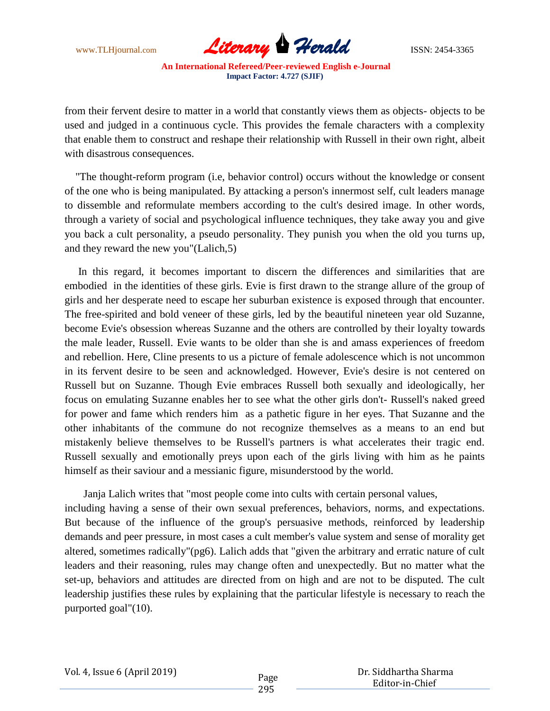

from their fervent desire to matter in a world that constantly views them as objects- objects to be used and judged in a continuous cycle. This provides the female characters with a complexity that enable them to construct and reshape their relationship with Russell in their own right, albeit with disastrous consequences.

 "The thought-reform program (i.e, behavior control) occurs without the knowledge or consent of the one who is being manipulated. By attacking a person's innermost self, cult leaders manage to dissemble and reformulate members according to the cult's desired image. In other words, through a variety of social and psychological influence techniques, they take away you and give you back a cult personality, a pseudo personality. They punish you when the old you turns up, and they reward the new you"(Lalich,5)

 In this regard, it becomes important to discern the differences and similarities that are embodied in the identities of these girls. Evie is first drawn to the strange allure of the group of girls and her desperate need to escape her suburban existence is exposed through that encounter. The free-spirited and bold veneer of these girls, led by the beautiful nineteen year old Suzanne, become Evie's obsession whereas Suzanne and the others are controlled by their loyalty towards the male leader, Russell. Evie wants to be older than she is and amass experiences of freedom and rebellion. Here, Cline presents to us a picture of female adolescence which is not uncommon in its fervent desire to be seen and acknowledged. However, Evie's desire is not centered on Russell but on Suzanne. Though Evie embraces Russell both sexually and ideologically, her focus on emulating Suzanne enables her to see what the other girls don't- Russell's naked greed for power and fame which renders him as a pathetic figure in her eyes. That Suzanne and the other inhabitants of the commune do not recognize themselves as a means to an end but mistakenly believe themselves to be Russell's partners is what accelerates their tragic end. Russell sexually and emotionally preys upon each of the girls living with him as he paints himself as their saviour and a messianic figure, misunderstood by the world.

 Janja Lalich writes that "most people come into cults with certain personal values, including having a sense of their own sexual preferences, behaviors, norms, and expectations. But because of the influence of the group's persuasive methods, reinforced by leadership demands and peer pressure, in most cases a cult member's value system and sense of morality get altered, sometimes radically"(pg6). Lalich adds that "given the arbitrary and erratic nature of cult leaders and their reasoning, rules may change often and unexpectedly. But no matter what the set-up, behaviors and attitudes are directed from on high and are not to be disputed. The cult leadership justifies these rules by explaining that the particular lifestyle is necessary to reach the purported goal"(10).

 Dr. Siddhartha Sharma Editor-in-Chief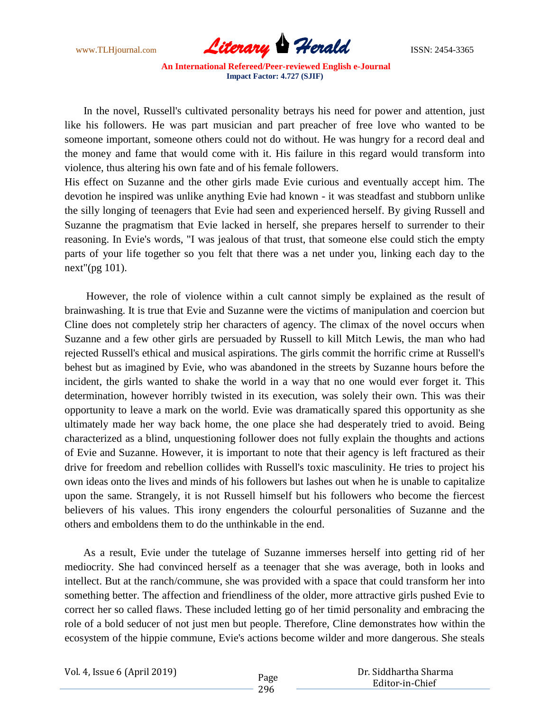

 In the novel, Russell's cultivated personality betrays his need for power and attention, just like his followers. He was part musician and part preacher of free love who wanted to be someone important, someone others could not do without. He was hungry for a record deal and the money and fame that would come with it. His failure in this regard would transform into violence, thus altering his own fate and of his female followers.

His effect on Suzanne and the other girls made Evie curious and eventually accept him. The devotion he inspired was unlike anything Evie had known - it was steadfast and stubborn unlike the silly longing of teenagers that Evie had seen and experienced herself. By giving Russell and Suzanne the pragmatism that Evie lacked in herself, she prepares herself to surrender to their reasoning. In Evie's words, "I was jealous of that trust, that someone else could stich the empty parts of your life together so you felt that there was a net under you, linking each day to the next"(pg 101).

 However, the role of violence within a cult cannot simply be explained as the result of brainwashing. It is true that Evie and Suzanne were the victims of manipulation and coercion but Cline does not completely strip her characters of agency. The climax of the novel occurs when Suzanne and a few other girls are persuaded by Russell to kill Mitch Lewis, the man who had rejected Russell's ethical and musical aspirations. The girls commit the horrific crime at Russell's behest but as imagined by Evie, who was abandoned in the streets by Suzanne hours before the incident, the girls wanted to shake the world in a way that no one would ever forget it. This determination, however horribly twisted in its execution, was solely their own. This was their opportunity to leave a mark on the world. Evie was dramatically spared this opportunity as she ultimately made her way back home, the one place she had desperately tried to avoid. Being characterized as a blind, unquestioning follower does not fully explain the thoughts and actions of Evie and Suzanne. However, it is important to note that their agency is left fractured as their drive for freedom and rebellion collides with Russell's toxic masculinity. He tries to project his own ideas onto the lives and minds of his followers but lashes out when he is unable to capitalize upon the same. Strangely, it is not Russell himself but his followers who become the fiercest believers of his values. This irony engenders the colourful personalities of Suzanne and the others and emboldens them to do the unthinkable in the end.

 As a result, Evie under the tutelage of Suzanne immerses herself into getting rid of her mediocrity. She had convinced herself as a teenager that she was average, both in looks and intellect. But at the ranch/commune, she was provided with a space that could transform her into something better. The affection and friendliness of the older, more attractive girls pushed Evie to correct her so called flaws. These included letting go of her timid personality and embracing the role of a bold seducer of not just men but people. Therefore, Cline demonstrates how within the ecosystem of the hippie commune, Evie's actions become wilder and more dangerous. She steals

Vol. 4, Issue 6 (April 2019)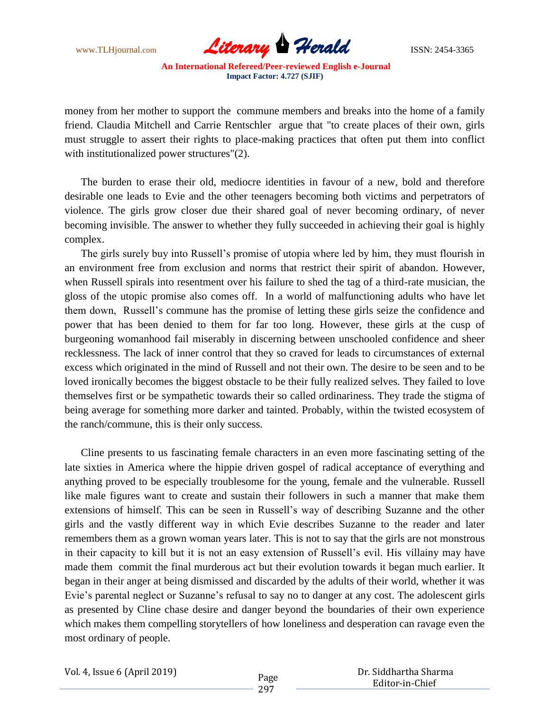

money from her mother to support the commune members and breaks into the home of a family friend. Claudia Mitchell and Carrie Rentschler argue that "to create places of their own, girls must struggle to assert their rights to place-making practices that often put them into conflict with institutionalized power structures"(2).

 The burden to erase their old, mediocre identities in favour of a new, bold and therefore desirable one leads to Evie and the other teenagers becoming both victims and perpetrators of violence. The girls grow closer due their shared goal of never becoming ordinary, of never becoming invisible. The answer to whether they fully succeeded in achieving their goal is highly complex.

 The girls surely buy into Russell's promise of utopia where led by him, they must flourish in an environment free from exclusion and norms that restrict their spirit of abandon. However, when Russell spirals into resentment over his failure to shed the tag of a third-rate musician, the gloss of the utopic promise also comes off. In a world of malfunctioning adults who have let them down, Russell's commune has the promise of letting these girls seize the confidence and power that has been denied to them for far too long. However, these girls at the cusp of burgeoning womanhood fail miserably in discerning between unschooled confidence and sheer recklessness. The lack of inner control that they so craved for leads to circumstances of external excess which originated in the mind of Russell and not their own. The desire to be seen and to be loved ironically becomes the biggest obstacle to be their fully realized selves. They failed to love themselves first or be sympathetic towards their so called ordinariness. They trade the stigma of being average for something more darker and tainted. Probably, within the twisted ecosystem of the ranch/commune, this is their only success.

 Cline presents to us fascinating female characters in an even more fascinating setting of the late sixties in America where the hippie driven gospel of radical acceptance of everything and anything proved to be especially troublesome for the young, female and the vulnerable. Russell like male figures want to create and sustain their followers in such a manner that make them extensions of himself. This can be seen in Russell's way of describing Suzanne and the other girls and the vastly different way in which Evie describes Suzanne to the reader and later remembers them as a grown woman years later. This is not to say that the girls are not monstrous in their capacity to kill but it is not an easy extension of Russell's evil. His villainy may have made them commit the final murderous act but their evolution towards it began much earlier. It began in their anger at being dismissed and discarded by the adults of their world, whether it was Evie's parental neglect or Suzanne's refusal to say no to danger at any cost. The adolescent girls as presented by Cline chase desire and danger beyond the boundaries of their own experience which makes them compelling storytellers of how loneliness and desperation can ravage even the most ordinary of people.

Vol. 4, Issue 6 (April 2019)

 Dr. Siddhartha Sharma Editor-in-Chief